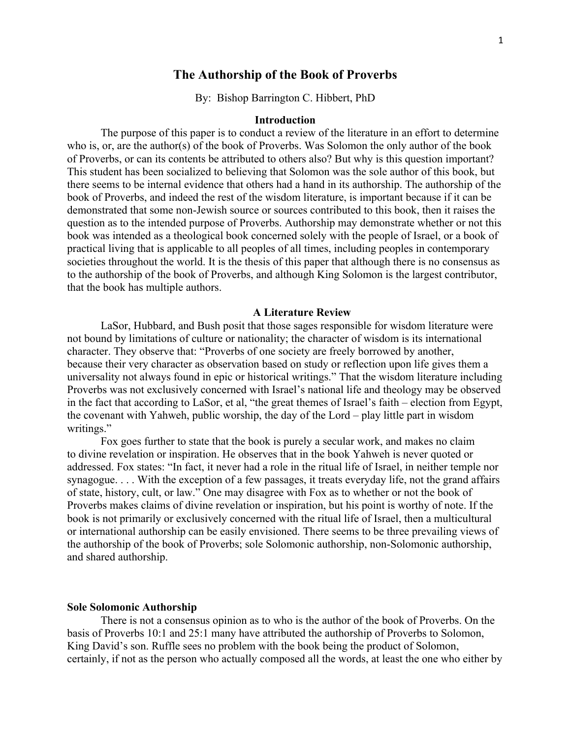# **The Authorship of the Book of Proverbs**

By: Bishop Barrington C. Hibbert, PhD

### **Introduction**

The purpose of this paper is to conduct a review of the literature in an effort to determine who is, or, are the author(s) of the book of Proverbs. Was Solomon the only author of the book of Proverbs, or can its contents be attributed to others also? But why is this question important? This student has been socialized to believing that Solomon was the sole author of this book, but there seems to be internal evidence that others had a hand in its authorship. The authorship of the book of Proverbs, and indeed the rest of the wisdom literature, is important because if it can be demonstrated that some non-Jewish source or sources contributed to this book, then it raises the question as to the intended purpose of Proverbs. Authorship may demonstrate whether or not this book was intended as a theological book concerned solely with the people of Israel, or a book of practical living that is applicable to all peoples of all times, including peoples in contemporary societies throughout the world. It is the thesis of this paper that although there is no consensus as to the authorship of the book of Proverbs, and although King Solomon is the largest contributor, that the book has multiple authors.

#### **A Literature Review**

LaSor, Hubbard, and Bush posit that those sages responsible for wisdom literature were not bound by limitations of culture or nationality; the character of wisdom is its international character. They observe that: "Proverbs of one society are freely borrowed by another, because their very character as observation based on study or reflection upon life gives them a universality not always found in epic or historical writings." That the wisdom literature including Proverbs was not exclusively concerned with Israel's national life and theology may be observed in the fact that according to LaSor, et al, "the great themes of Israel's faith – election from Egypt, the covenant with Yahweh, public worship, the day of the Lord – play little part in wisdom writings."

Fox goes further to state that the book is purely a secular work, and makes no claim to divine revelation or inspiration. He observes that in the book Yahweh is never quoted or addressed. Fox states: "In fact, it never had a role in the ritual life of Israel, in neither temple nor synagogue. . . . With the exception of a few passages, it treats everyday life, not the grand affairs of state, history, cult, or law." One may disagree with Fox as to whether or not the book of Proverbs makes claims of divine revelation or inspiration, but his point is worthy of note. If the book is not primarily or exclusively concerned with the ritual life of Israel, then a multicultural or international authorship can be easily envisioned. There seems to be three prevailing views of the authorship of the book of Proverbs; sole Solomonic authorship, non-Solomonic authorship, and shared authorship.

#### **Sole Solomonic Authorship**

There is not a consensus opinion as to who is the author of the book of Proverbs. On the basis of Proverbs 10:1 and 25:1 many have attributed the authorship of Proverbs to Solomon, King David's son. Ruffle sees no problem with the book being the product of Solomon, certainly, if not as the person who actually composed all the words, at least the one who either by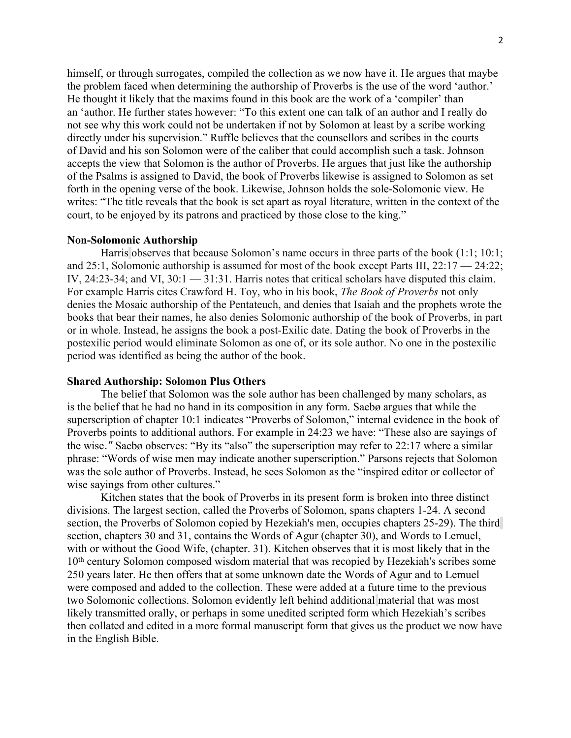himself, or through surrogates, compiled the collection as we now have it. He argues that maybe the problem faced when determining the authorship of Proverbs is the use of the word 'author.' He thought it likely that the maxims found in this book are the work of a 'compiler' than an 'author. He further states however: "To this extent one can talk of an author and I really do not see why this work could not be undertaken if not by Solomon at least by a scribe working directly under his supervision." Ruffle believes that the counsellors and scribes in the courts of David and his son Solomon were of the caliber that could accomplish such a task. Johnson accepts the view that Solomon is the author of Proverbs. He argues that just like the authorship of the Psalms is assigned to David, the book of Proverbs likewise is assigned to Solomon as set forth in the opening verse of the book. Likewise, Johnson holds the sole-Solomonic view. He writes: "The title reveals that the book is set apart as royal literature, written in the context of the court, to be enjoyed by its patrons and practiced by those close to the king."

### **Non-Solomonic Authorship**

Harris observes that because Solomon's name occurs in three parts of the book (1:1; 10:1; and 25:1, Solomonic authorship is assumed for most of the book except Parts III, 22:17 — 24:22; IV,  $24:23-34$ ; and VI,  $30:1 - 31:31$ . Harris notes that critical scholars have disputed this claim. For example Harris cites Crawford H. Toy, who in his book, *The Book of Proverbs* not only denies the Mosaic authorship of the Pentateuch, and denies that Isaiah and the prophets wrote the books that bear their names, he also denies Solomonic authorship of the book of Proverbs, in part or in whole. Instead, he assigns the book a post-Exilic date. Dating the book of Proverbs in the postexilic period would eliminate Solomon as one of, or its sole author. No one in the postexilic period was identified as being the author of the book.

### **Shared Authorship: Solomon Plus Others**

The belief that Solomon was the sole author has been challenged by many scholars, as is the belief that he had no hand in its composition in any form. Saebø argues that while the superscription of chapter 10:1 indicates "Proverbs of Solomon," internal evidence in the book of Proverbs points to additional authors. For example in 24:23 we have: "These also are sayings of the wise." Saebø observes: "By its "also" the superscription may refer to 22:17 where a similar phrase: "Words of wise men may indicate another superscription." Parsons rejects that Solomon was the sole author of Proverbs. Instead, he sees Solomon as the "inspired editor or collector of wise sayings from other cultures."

Kitchen states that the book of Proverbs in its present form is broken into three distinct divisions. The largest section, called the Proverbs of Solomon, spans chapters 1-24. A second section, the Proverbs of Solomon copied by Hezekiah's men, occupies chapters 25-29). The third section, chapters 30 and 31, contains the Words of Agur (chapter 30), and Words to Lemuel, with or without the Good Wife, (chapter. 31). Kitchen observes that it is most likely that in the 10<sup>th</sup> century Solomon composed wisdom material that was recopied by Hezekiah's scribes some 250 years later. He then offers that at some unknown date the Words of Agur and to Lemuel were composed and added to the collection. These were added at a future time to the previous two Solomonic collections. Solomon evidently left behind additional material that was most likely transmitted orally, or perhaps in some unedited scripted form which Hezekiah's scribes then collated and edited in a more formal manuscript form that gives us the product we now have in the English Bible.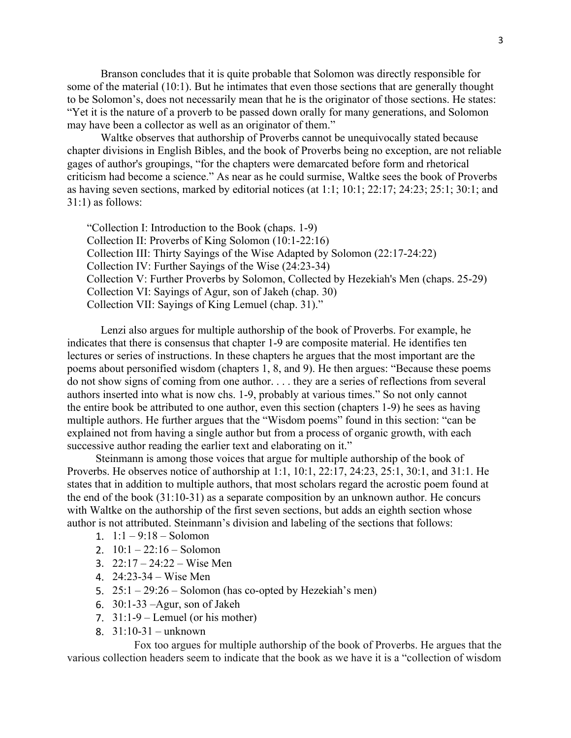Branson concludes that it is quite probable that Solomon was directly responsible for some of the material [\(10:1\)](http://www.biblegateway.com/passage/?search=Prov%2010:1). But he intimates that even those sections that are generally thought to be Solomon's, does not necessarily mean that he is the originator of those sections. He states: "Yet it is the nature of a proverb to be passed down orally for many generations, and Solomon may have been a collector as well as an originator of them."

Waltke observes that authorship of Proverbs cannot be unequivocally stated because chapter divisions in English Bibles, and the book of Proverbs being no exception, are not reliable gages of author's groupings, "for the chapters were demarcated before form and rhetorical criticism had become a science." As near as he could surmise, Waltke sees the book of Proverbs as having seven sections, marked by editorial notices (at 1:1; 10:1; 22:17; 24:23; 25:1; 30:1; and 31:1) as follows:

"Collection I: Introduction to the Book (chaps. 1-9) Collection II: Proverbs of King Solomon (10:1-22:16) Collection III: Thirty Sayings of the Wise Adapted by Solomon (22:17-24:22) Collection IV: Further Sayings of the Wise (24:23-34) Collection V: Further Proverbs by Solomon, Collected by Hezekiah's Men (chaps. 25-29) Collection VI: Sayings of Agur, son of Jakeh (chap. 30) Collection VII: Sayings of King Lemuel (chap. 31)."

Lenzi also argues for multiple authorship of the book of Proverbs. For example, he indicates that there is consensus that chapter 1-9 are composite material. He identifies ten lectures or series of instructions. In these chapters he argues that the most important are the poems about personified wisdom (chapters 1, 8, and 9). He then argues: "Because these poems do not show signs of coming from one author. . . . they are a series of reflections from several authors inserted into what is now chs. 1-9, probably at various times." So not only cannot the entire book be attributed to one author, even this section (chapters 1-9) he sees as having multiple authors. He further argues that the "Wisdom poems" found in this section: "can be explained not from having a single author but from a process of organic growth, with each successive author reading the earlier text and elaborating on it."

Steinmann is among those voices that argue for multiple authorship of the book of Proverbs. He observes notice of authorship at 1:1, 10:1, 22:17, 24:23, 25:1, 30:1, and 31:1. He states that in addition to multiple authors, that most scholars regard the acrostic poem found at the end of the book (31:10-31) as a separate composition by an unknown author. He concurs with Waltke on the authorship of the first seven sections, but adds an eighth section whose author is not attributed. Steinmann's division and labeling of the sections that follows:

- 1.  $1:1 9:18$  Solomon
- 2.  $10:1 22:16 -$ Solomon
- 3. 22:17 24:22 Wise Men
- 4. 24:23-34 Wise Men
- 5. 25:1 29:26 Solomon (has co-opted by Hezekiah's men)
- 6. 30:1-33 –Agur, son of Jakeh
- 7.  $31:1-9$  Lemuel (or his mother)
- 8. 31:10-31 unknown

Fox too argues for multiple authorship of the book of Proverbs. He argues that the various collection headers seem to indicate that the book as we have it is a "collection of wisdom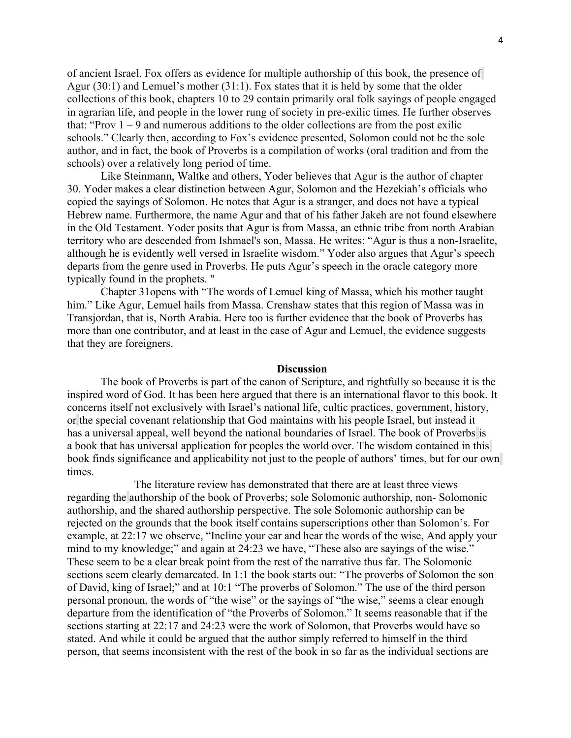of ancient Israel. Fox offers as evidence for multiple authorship of this book, the presence of Agur (30:1) and Lemuel's mother (31:1). Fox states that it is held by some that the older collections of this book, chapters 10 to 29 contain primarily oral folk sayings of people engaged in agrarian life, and people in the lower rung of society in pre-exilic times. He further observes that: "Prov  $1 - 9$  and numerous additions to the older collections are from the post exilic schools." Clearly then, according to Fox's evidence presented, Solomon could not be the sole author, and in fact, the book of Proverbs is a compilation of works (oral tradition and from the schools) over a relatively long period of time.

Like Steinmann, Waltke and others, Yoder believes that Agur is the author of chapter 30. Yoder makes a clear distinction between Agur, Solomon and the Hezekiah's officials who copied the sayings of Solomon. He notes that Agur is a stranger, and does not have a typical Hebrew name. Furthermore, the name Agur and that of his father Jakeh are not found elsewhere in the Old Testament. Yoder posits that Agur is from Massa, an ethnic tribe from north Arabian territory who are descended from Ishmael's son, Massa. He writes: "Agur is thus a non-Israelite, although he is evidently well versed in Israelite wisdom." Yoder also argues that Agur's speech departs from the genre used in Proverbs. He puts Agur's speech in the oracle category more typically found in the prophets. "

Chapter 31opens with "The words of Lemuel king of Massa, which his mother taught him." Like Agur, Lemuel hails from Massa. Crenshaw states that this region of Massa was in Transjordan, that is, North Arabia. Here too is further evidence that the book of Proverbs has more than one contributor, and at least in the case of Agur and Lemuel, the evidence suggests that they are foreigners.

#### **Discussion**

The book of Proverbs is part of the canon of Scripture, and rightfully so because it is the inspired word of God. It has been here argued that there is an international flavor to this book. It concerns itself not exclusively with Israel's national life, cultic practices, government, history, or the special covenant relationship that God maintains with his people Israel, but instead it has a universal appeal, well beyond the national boundaries of Israel. The book of Proverbs is a book that has universal application for peoples the world over. The wisdom contained in this book finds significance and applicability not just to the people of authors' times, but for our own times.

The literature review has demonstrated that there are at least three views regarding the authorship of the book of Proverbs; sole Solomonic authorship, non- Solomonic authorship, and the shared authorship perspective. The sole Solomonic authorship can be rejected on the grounds that the book itself contains superscriptions other than Solomon's. For example, at 22:17 we observe, "Incline your ear and hear the words of the wise, And apply your mind to my knowledge;" and again at 24:23 we have, "These also are sayings of the wise." These seem to be a clear break point from the rest of the narrative thus far. The Solomonic sections seem clearly demarcated. In 1:1 the book starts out: "The proverbs of Solomon the son of David, king of Israel;" and at 10:1 "The proverbs of Solomon." The use of the third person personal pronoun, the words of "the wise" or the sayings of "the wise," seems a clear enough departure from the identification of "the Proverbs of Solomon." It seems reasonable that if the sections starting at 22:17 and 24:23 were the work of Solomon, that Proverbs would have so stated. And while it could be argued that the author simply referred to himself in the third person, that seems inconsistent with the rest of the book in so far as the individual sections are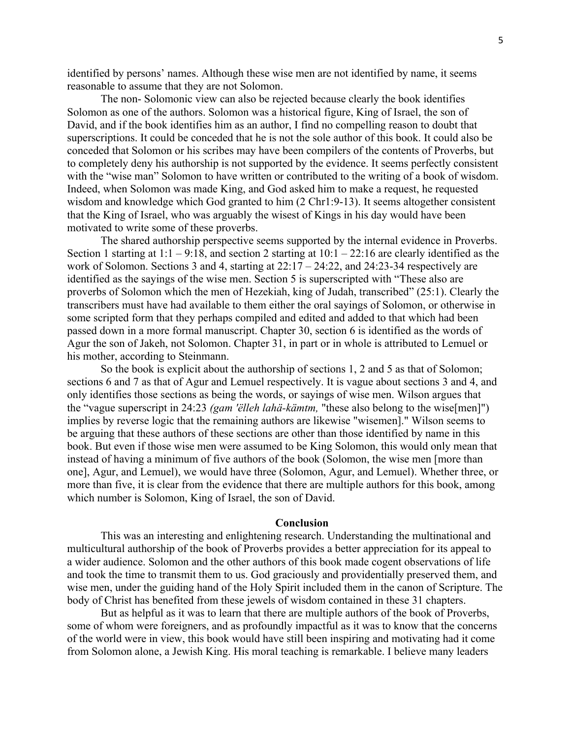identified by persons' names. Although these wise men are not identified by name, it seems reasonable to assume that they are not Solomon.

The non- Solomonic view can also be rejected because clearly the book identifies Solomon as one of the authors. Solomon was a historical figure, King of Israel, the son of David, and if the book identifies him as an author, I find no compelling reason to doubt that superscriptions. It could be conceded that he is not the sole author of this book. It could also be conceded that Solomon or his scribes may have been compilers of the contents of Proverbs, but to completely deny his authorship is not supported by the evidence. It seems perfectly consistent with the "wise man" Solomon to have written or contributed to the writing of a book of wisdom. Indeed, when Solomon was made King, and God asked him to make a request, he requested wisdom and knowledge which God granted to him (2 Chr1:9-13). It seems altogether consistent that the King of Israel, who was arguably the wisest of Kings in his day would have been motivated to write some of these proverbs.

The shared authorship perspective seems supported by the internal evidence in Proverbs. Section 1 starting at  $1:1 - 9:18$ , and section 2 starting at  $10:1 - 22:16$  are clearly identified as the work of Solomon. Sections 3 and 4, starting at  $22:17 - 24:22$ , and  $24:23-34$  respectively are identified as the sayings of the wise men. Section 5 is superscripted with "These also are proverbs of Solomon which the men of Hezekiah, king of Judah, transcribed" (25:1). Clearly the transcribers must have had available to them either the oral sayings of Solomon, or otherwise in some scripted form that they perhaps compiled and edited and added to that which had been passed down in a more formal manuscript. Chapter 30, section 6 is identified as the words of Agur the son of Jakeh, not Solomon. Chapter 31, in part or in whole is attributed to Lemuel or his mother, according to Steinmann.

So the book is explicit about the authorship of sections 1, 2 and 5 as that of Solomon; sections 6 and 7 as that of Agur and Lemuel respectively. It is vague about sections 3 and 4, and only identifies those sections as being the words, or sayings of wise men. Wilson argues that the "vague superscript in 24:23 *(gam 'ëlleh lahä-kämtm,* "these also belong to the wise[men]") implies by reverse logic that the remaining authors are likewise "wisemen]." Wilson seems to be arguing that these authors of these sections are other than those identified by name in this book. But even if those wise men were assumed to be King Solomon, this would only mean that instead of having a minimum of five authors of the book (Solomon, the wise men [more than one], Agur, and Lemuel), we would have three (Solomon, Agur, and Lemuel). Whether three, or more than five, it is clear from the evidence that there are multiple authors for this book, among which number is Solomon, King of Israel, the son of David.

### **Conclusion**

This was an interesting and enlightening research. Understanding the multinational and multicultural authorship of the book of Proverbs provides a better appreciation for its appeal to a wider audience. Solomon and the other authors of this book made cogent observations of life and took the time to transmit them to us. God graciously and providentially preserved them, and wise men, under the guiding hand of the Holy Spirit included them in the canon of Scripture. The body of Christ has benefited from these jewels of wisdom contained in these 31 chapters.

But as helpful as it was to learn that there are multiple authors of the book of Proverbs, some of whom were foreigners, and as profoundly impactful as it was to know that the concerns of the world were in view, this book would have still been inspiring and motivating had it come from Solomon alone, a Jewish King. His moral teaching is remarkable. I believe many leaders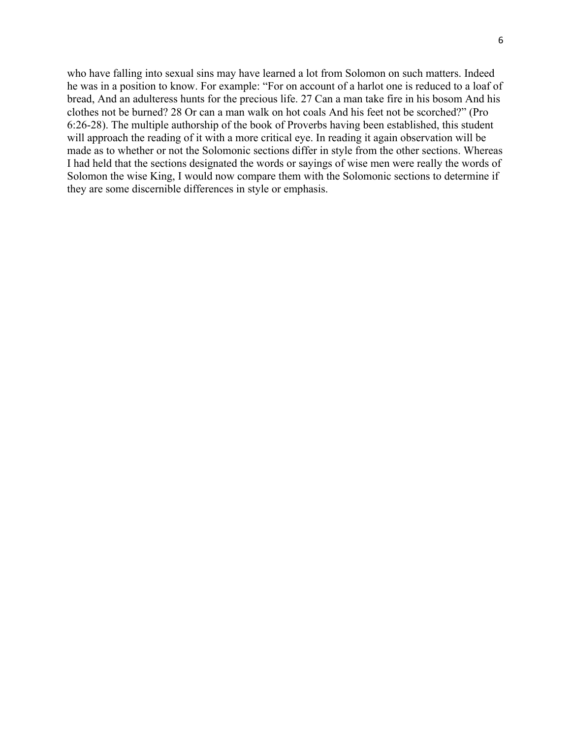who have falling into sexual sins may have learned a lot from Solomon on such matters. Indeed he was in a position to know. For example: "For on account of a harlot one is reduced to a loaf of bread, And an adulteress hunts for the precious life. 27 Can a man take fire in his bosom And his clothes not be burned? 28 Or can a man walk on hot coals And his feet not be scorched?" (Pro 6:26-28). The multiple authorship of the book of Proverbs having been established, this student will approach the reading of it with a more critical eye. In reading it again observation will be made as to whether or not the Solomonic sections differ in style from the other sections. Whereas I had held that the sections designated the words or sayings of wise men were really the words of Solomon the wise King, I would now compare them with the Solomonic sections to determine if they are some discernible differences in style or emphasis.